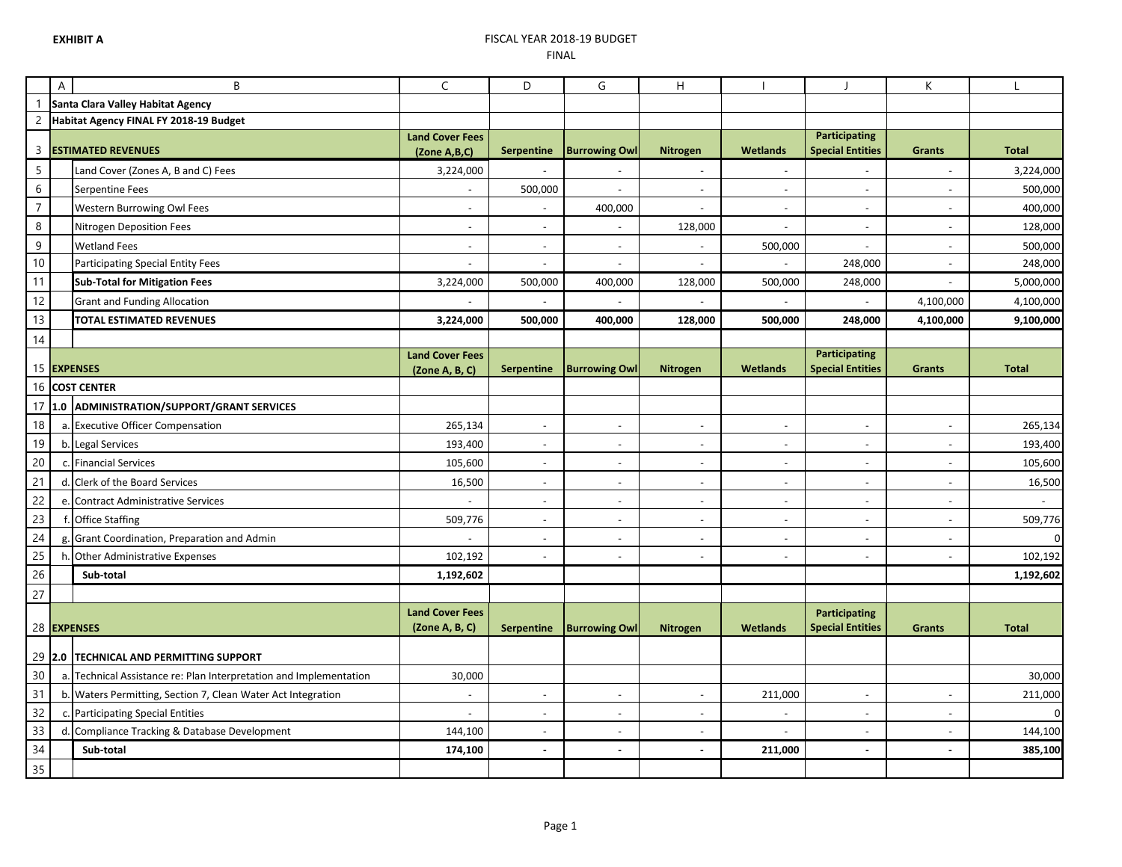## **EXHIBIT A** FISCAL YEAR 2018-19 BUDGET FINAL

|                  | A | B                                                                  | $\mathsf C$                            | D                        | G                        | Н                        |                          |                                                 | K                        | $\mathbf{I}$             |
|------------------|---|--------------------------------------------------------------------|----------------------------------------|--------------------------|--------------------------|--------------------------|--------------------------|-------------------------------------------------|--------------------------|--------------------------|
|                  |   | Santa Clara Valley Habitat Agency                                  |                                        |                          |                          |                          |                          |                                                 |                          |                          |
| $\overline{c}$   |   | Habitat Agency FINAL FY 2018-19 Budget                             |                                        |                          |                          |                          |                          |                                                 |                          |                          |
| 3                |   | <b>ESTIMATED REVENUES</b>                                          | <b>Land Cover Fees</b><br>(Zone A,B,C) | <b>Serpentine</b>        | <b>Burrowing Owl</b>     | <b>Nitrogen</b>          | <b>Wetlands</b>          | <b>Participating</b><br><b>Special Entities</b> | <b>Grants</b>            | <b>Total</b>             |
| $\overline{5}$   |   | Land Cover (Zones A, B and C) Fees                                 | 3,224,000                              |                          |                          | $\overline{a}$           | $\sim$                   |                                                 | $\sim$                   | 3,224,000                |
| $\sqrt{6}$       |   | Serpentine Fees                                                    | $\sim$                                 | 500,000                  | $\sim$                   | $\overline{a}$           | $\sim$                   | $\sim$                                          | $\sim$                   | 500,000                  |
| $\boldsymbol{7}$ |   | <b>Western Burrowing Owl Fees</b>                                  | $\sim$                                 | $\overline{a}$           | 400,000                  | $\overline{a}$           | $\blacksquare$           | $\sim$                                          | $\sim$                   | 400,000                  |
| $\,8\,$          |   | Nitrogen Deposition Fees                                           | $\overline{\phantom{a}}$               | $\overline{\phantom{a}}$ |                          | 128,000                  | $\blacksquare$           | $\sim$                                          | $\sim$                   | 128,000                  |
| $\mathsf g$      |   | <b>Wetland Fees</b>                                                |                                        | $\overline{a}$           |                          |                          | 500,000                  |                                                 |                          | 500,000                  |
| $10$             |   | <b>Participating Special Entity Fees</b>                           |                                        | $\overline{a}$           |                          | $\overline{a}$           |                          | 248,000                                         |                          | 248,000                  |
| 11               |   | <b>Sub-Total for Mitigation Fees</b>                               | 3,224,000                              | 500,000                  | 400,000                  | 128,000                  | 500,000                  | 248,000                                         |                          | 5,000,000                |
| 12               |   | <b>Grant and Funding Allocation</b>                                |                                        |                          |                          |                          |                          |                                                 | 4,100,000                | 4,100,000                |
| 13               |   | TOTAL ESTIMATED REVENUES                                           | 3,224,000                              | 500,000                  | 400,000                  | 128,000                  | 500,000                  | 248,000                                         | 4,100,000                | 9,100,000                |
| 14               |   |                                                                    |                                        |                          |                          |                          |                          |                                                 |                          |                          |
|                  |   |                                                                    | <b>Land Cover Fees</b>                 |                          |                          |                          |                          | <b>Participating</b>                            |                          |                          |
|                  |   | 15 EXPENSES                                                        | (Zone A, B, C)                         | <b>Serpentine</b>        | <b>Burrowing Owl</b>     | Nitrogen                 | <b>Wetlands</b>          | <b>Special Entities</b>                         | <b>Grants</b>            | <b>Total</b>             |
|                  |   | 16 COST CENTER                                                     |                                        |                          |                          |                          |                          |                                                 |                          |                          |
| 17               |   | 1.0 ADMINISTRATION/SUPPORT/GRANT SERVICES                          |                                        |                          |                          |                          |                          |                                                 |                          |                          |
| 18               |   | a. Executive Officer Compensation                                  | 265,134                                | $\blacksquare$           | $\overline{\phantom{a}}$ | $\overline{\phantom{a}}$ | $\blacksquare$           | $\overline{\phantom{a}}$                        | $\overline{\phantom{a}}$ | 265,134                  |
| 19               |   | b. Legal Services                                                  | 193,400                                | $\overline{\phantom{a}}$ | $\overline{\phantom{a}}$ | $\overline{\phantom{a}}$ | $\blacksquare$           | $\overline{\phantom{a}}$                        | $\overline{\phantom{a}}$ | 193,400                  |
| 20               |   | c. Financial Services                                              | 105,600                                | $\blacksquare$           | $\overline{\phantom{a}}$ | $\sim$                   | $\blacksquare$           | $\sim$                                          | $\overline{\phantom{a}}$ | 105,600                  |
| 21               |   | d. Clerk of the Board Services                                     | 16,500                                 | $\overline{\phantom{a}}$ | $\overline{\phantom{a}}$ | $\overline{\phantom{a}}$ | $\blacksquare$           | $\overline{\phantom{a}}$                        | $\overline{\phantom{a}}$ | 16,500                   |
| 22               |   | e. Contract Administrative Services                                | $\overline{\phantom{a}}$               | $\overline{\phantom{a}}$ | $\overline{\phantom{a}}$ | $\overline{\phantom{a}}$ | $\overline{\phantom{a}}$ | $\overline{\phantom{a}}$                        | $\overline{\phantom{a}}$ | $\overline{\phantom{a}}$ |
| 23               |   | f. Office Staffing                                                 | 509,776                                | $\blacksquare$           | $\overline{\phantom{a}}$ | $\blacksquare$           | $\blacksquare$           | $\overline{\phantom{a}}$                        | $\overline{\phantom{a}}$ | 509,776                  |
| 24               |   | g. Grant Coordination, Preparation and Admin                       |                                        | $\blacksquare$           | $\overline{\phantom{a}}$ | $\overline{\phantom{a}}$ | $\overline{\phantom{a}}$ | $\overline{\phantom{a}}$                        | $\overline{\phantom{a}}$ | O                        |
| 25               |   | h. Other Administrative Expenses                                   | 102,192                                | $\overline{\phantom{a}}$ | $\overline{\phantom{a}}$ | $\overline{\phantom{a}}$ | $\blacksquare$           | $\overline{\phantom{a}}$                        | $\overline{\phantom{a}}$ | 102,192                  |
| 26               |   | Sub-total                                                          | 1,192,602                              |                          |                          |                          |                          |                                                 |                          | 1,192,602                |
| 27               |   |                                                                    |                                        |                          |                          |                          |                          |                                                 |                          |                          |
|                  |   |                                                                    | <b>Land Cover Fees</b>                 |                          |                          |                          |                          | <b>Participating</b>                            |                          |                          |
|                  |   | 28 EXPENSES                                                        | (Zone A, B, C)                         | <b>Serpentine</b>        | <b>Burrowing Owl</b>     | Nitrogen                 | <b>Wetlands</b>          | <b>Special Entities</b>                         | <b>Grants</b>            | <b>Total</b>             |
|                  |   | 29 2.0 TECHNICAL AND PERMITTING SUPPORT                            |                                        |                          |                          |                          |                          |                                                 |                          |                          |
| 30               |   | a. Technical Assistance re: Plan Interpretation and Implementation | 30,000                                 |                          |                          |                          |                          |                                                 |                          | 30,000                   |
| 31               |   | b. Waters Permitting, Section 7, Clean Water Act Integration       |                                        | $\overline{\phantom{a}}$ |                          |                          | 211,000                  |                                                 |                          | 211,000                  |
| 32               |   | c. Participating Special Entities                                  |                                        | $\frac{1}{2}$            |                          | $\overline{\phantom{a}}$ |                          |                                                 |                          | $\Omega$                 |
| 33               |   | d. Compliance Tracking & Database Development                      | 144,100                                | $\overline{a}$           |                          | $\overline{a}$           |                          |                                                 |                          | 144,100                  |
| 34               |   | Sub-total                                                          | 174,100                                | $\overline{a}$           | $\sim$                   | $\overline{a}$           | 211,000                  | $\sim$                                          | $\overline{a}$           | 385,100                  |
| 35               |   |                                                                    |                                        |                          |                          |                          |                          |                                                 |                          |                          |